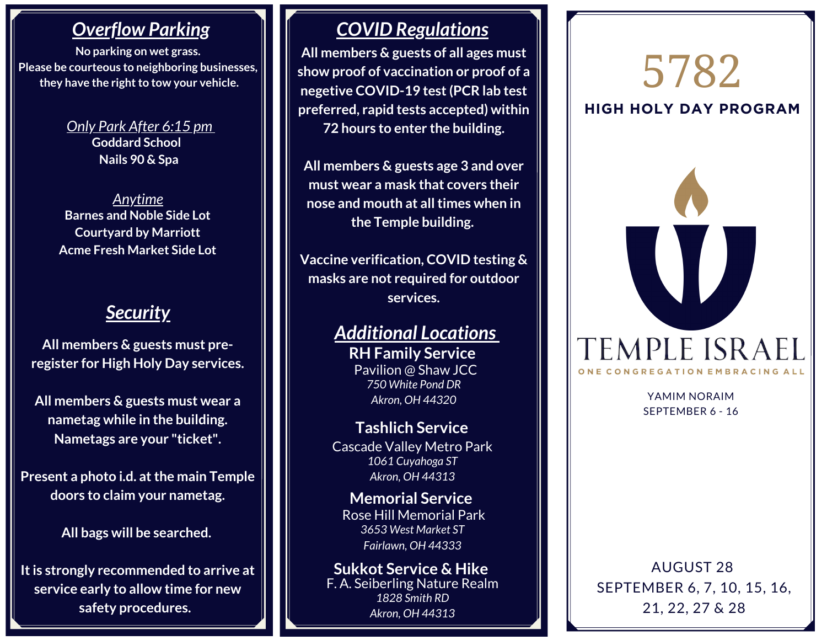## *Overflow Parking*

**No parking on wet grass. Please be courteous to neighboring businesses, they** have the right to tow your vehicle.

> **Goddard School Nails 90 & Spa** *Only Park After 6:15 pm*

**Barnes and Noble Side Lot Courtyard by Marriott Acme Fresh Market Side Lot** *Anytime*

## *Security*

**All members & guests must preregister for High Holy Day services.**

**All members & guests must wear a nametag while in the building. Nametags are your "ticket".**

**Present a photo i.d. atthe main Temple doors to claim your nametag.**

**All bags will be searched.**

**Itis strongly recommended to arrive at service early to allow time for new safety procedures.**

## *COVID Regulations*

**All members & guests of all ages must show proof of vaccination or proof of a negetive COVID-19 test(PCR lab test preferred, rapid tests accepted) within 72 hours to enter the building.**

**All members & guests age 3 and over must wear a mask that covers their nose and mouth at alltimes when in the Temple building.**

**Vaccine verification, COVID testing & masks are not required for outdoor services.**

#### *Additional Locations* **RH Family Service** Pavilion @ Shaw JCC

*750 White Pond DR Akron, OH 44320*

**Tashlich Service** Cascade Valley Metro Park *1061 Cuyahoga ST Akron, OH 44313*

*3653 West Market ST Fairlawn, OH 44333* **Memorial Service** Rose Hill Memorial Park

**Sukkot Service & Hike** F. A. Seiberling Nature Realm *1828 Smith RD Akron, OH 44313*

# **HIGH HOLY DAY PROGRAM** 5782



YAMIM NORAIM SEPTEMBER 6 - 16

AUGUST 28 SEPTEMBER 6, 7, 10, 15, 16, 21, 22, 27 & 28